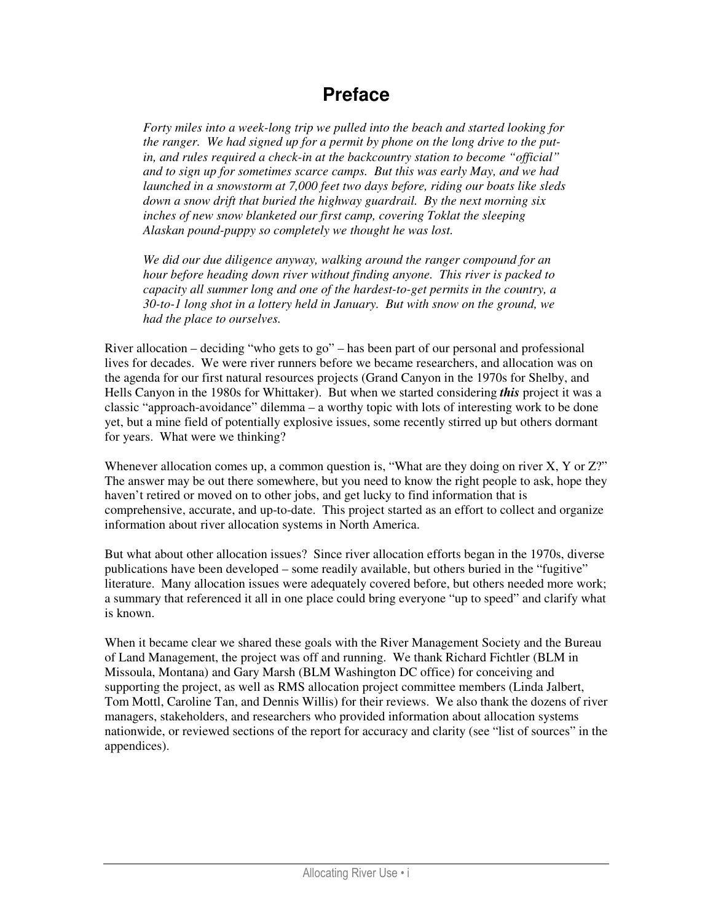### **Preface**

*Forty miles into a week-long trip we pulled into the beach and started looking for the ranger. We had signed up for a permit by phone on the long drive to the putin, and rules required a check-in at the backcountry station to become "official" and to sign up for sometimes scarce camps. But this was early May, and we had launched in a snowstorm at 7,000 feet two days before, riding our boats like sleds down a snow drift that buried the highway guardrail. By the next morning six inches of new snow blanketed our first camp, covering Toklat the sleeping Alaskan pound-puppy so completely we thought he was lost.* 

*We did our due diligence anyway, walking around the ranger compound for an hour before heading down river without finding anyone. This river is packed to capacity all summer long and one of the hardest-to-get permits in the country, a 30-to-1 long shot in a lottery held in January. But with snow on the ground, we had the place to ourselves.* 

River allocation – deciding "who gets to go" – has been part of our personal and professional lives for decades. We were river runners before we became researchers, and allocation was on the agenda for our first natural resources projects (Grand Canyon in the 1970s for Shelby, and Hells Canyon in the 1980s for Whittaker). But when we started considering *this* project it was a classic "approach-avoidance" dilemma – a worthy topic with lots of interesting work to be done yet, but a mine field of potentially explosive issues, some recently stirred up but others dormant for years. What were we thinking?

Whenever allocation comes up, a common question is, "What are they doing on river X, Y or Z?" The answer may be out there somewhere, but you need to know the right people to ask, hope they haven't retired or moved on to other jobs, and get lucky to find information that is comprehensive, accurate, and up-to-date. This project started as an effort to collect and organize information about river allocation systems in North America.

But what about other allocation issues? Since river allocation efforts began in the 1970s, diverse publications have been developed – some readily available, but others buried in the "fugitive" literature. Many allocation issues were adequately covered before, but others needed more work; a summary that referenced it all in one place could bring everyone "up to speed" and clarify what is known.

When it became clear we shared these goals with the River Management Society and the Bureau of Land Management, the project was off and running. We thank Richard Fichtler (BLM in Missoula, Montana) and Gary Marsh (BLM Washington DC office) for conceiving and supporting the project, as well as RMS allocation project committee members (Linda Jalbert, Tom Mottl, Caroline Tan, and Dennis Willis) for their reviews. We also thank the dozens of river managers, stakeholders, and researchers who provided information about allocation systems nationwide, or reviewed sections of the report for accuracy and clarity (see "list of sources" in the appendices).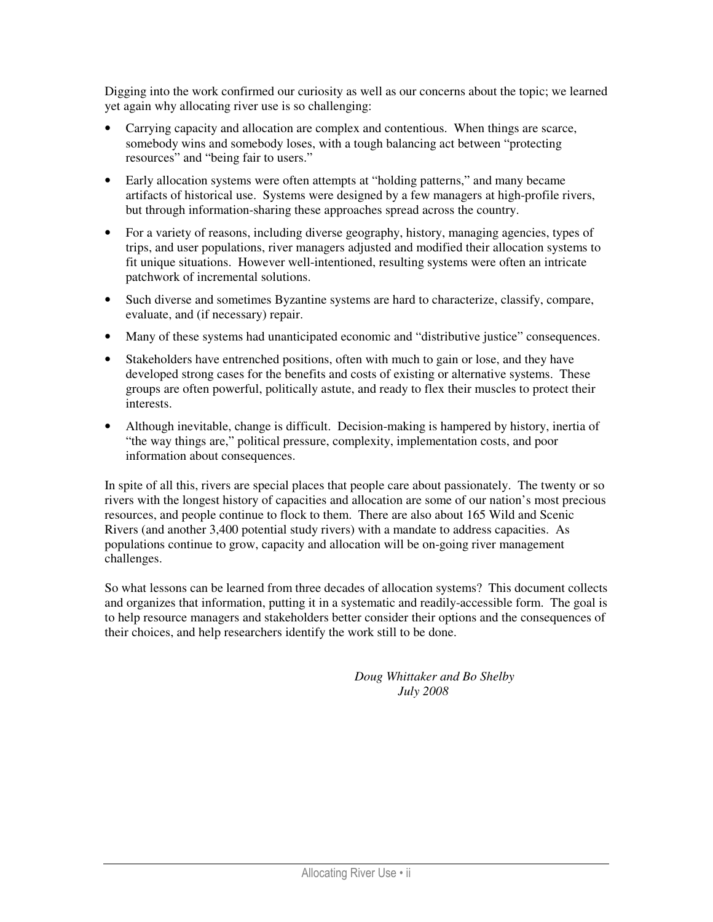Digging into the work confirmed our curiosity as well as our concerns about the topic; we learned yet again why allocating river use is so challenging:

- Carrying capacity and allocation are complex and contentious. When things are scarce, somebody wins and somebody loses, with a tough balancing act between "protecting resources" and "being fair to users."
- Early allocation systems were often attempts at "holding patterns," and many became artifacts of historical use. Systems were designed by a few managers at high-profile rivers, but through information-sharing these approaches spread across the country.
- For a variety of reasons, including diverse geography, history, managing agencies, types of trips, and user populations, river managers adjusted and modified their allocation systems to fit unique situations. However well-intentioned, resulting systems were often an intricate patchwork of incremental solutions.
- Such diverse and sometimes Byzantine systems are hard to characterize, classify, compare, evaluate, and (if necessary) repair.
- Many of these systems had unanticipated economic and "distributive justice" consequences.
- Stakeholders have entrenched positions, often with much to gain or lose, and they have developed strong cases for the benefits and costs of existing or alternative systems. These groups are often powerful, politically astute, and ready to flex their muscles to protect their interests.
- Although inevitable, change is difficult. Decision-making is hampered by history, inertia of "the way things are," political pressure, complexity, implementation costs, and poor information about consequences.

In spite of all this, rivers are special places that people care about passionately. The twenty or so rivers with the longest history of capacities and allocation are some of our nation's most precious resources, and people continue to flock to them. There are also about 165 Wild and Scenic Rivers (and another 3,400 potential study rivers) with a mandate to address capacities. As populations continue to grow, capacity and allocation will be on-going river management challenges.

So what lessons can be learned from three decades of allocation systems? This document collects and organizes that information, putting it in a systematic and readily-accessible form. The goal is to help resource managers and stakeholders better consider their options and the consequences of their choices, and help researchers identify the work still to be done.

> *Doug Whittaker and Bo Shelby July 2008*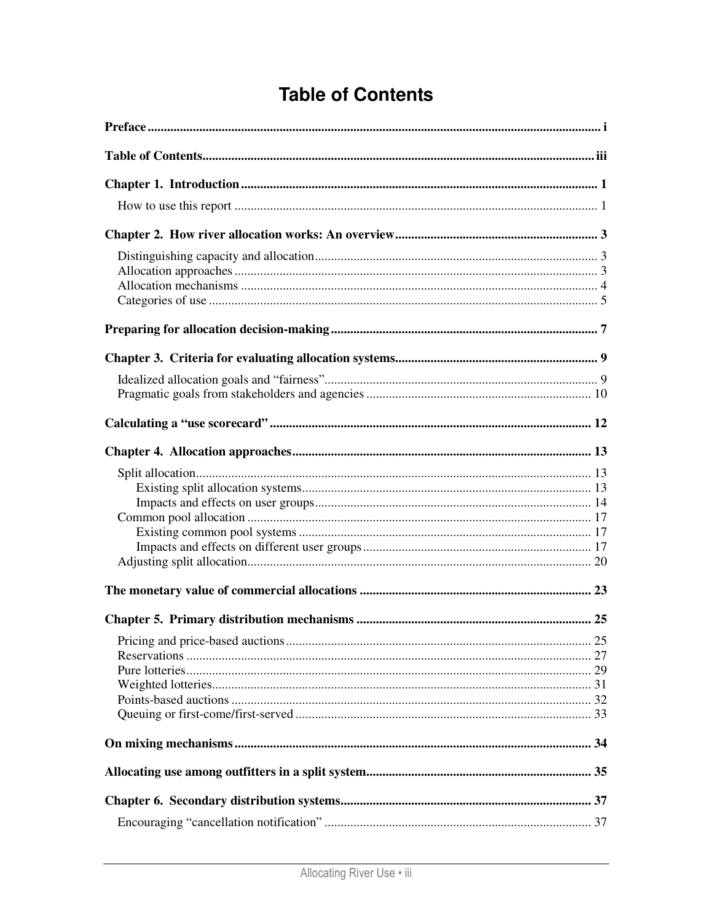# **Table of Contents**

| 25 |
|----|
|    |
|    |
|    |
|    |
|    |
|    |
|    |
|    |
|    |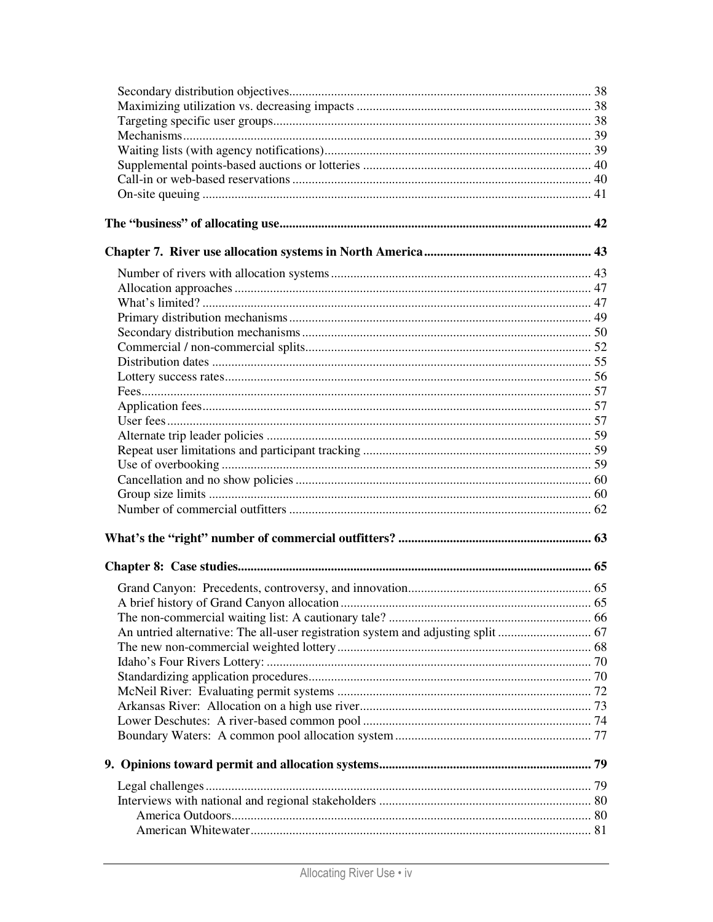| An untried alternative: The all-user registration system and adjusting split  67 |  |
|----------------------------------------------------------------------------------|--|
|                                                                                  |  |
|                                                                                  |  |
|                                                                                  |  |
|                                                                                  |  |
|                                                                                  |  |
|                                                                                  |  |
|                                                                                  |  |
|                                                                                  |  |
|                                                                                  |  |
|                                                                                  |  |
|                                                                                  |  |
|                                                                                  |  |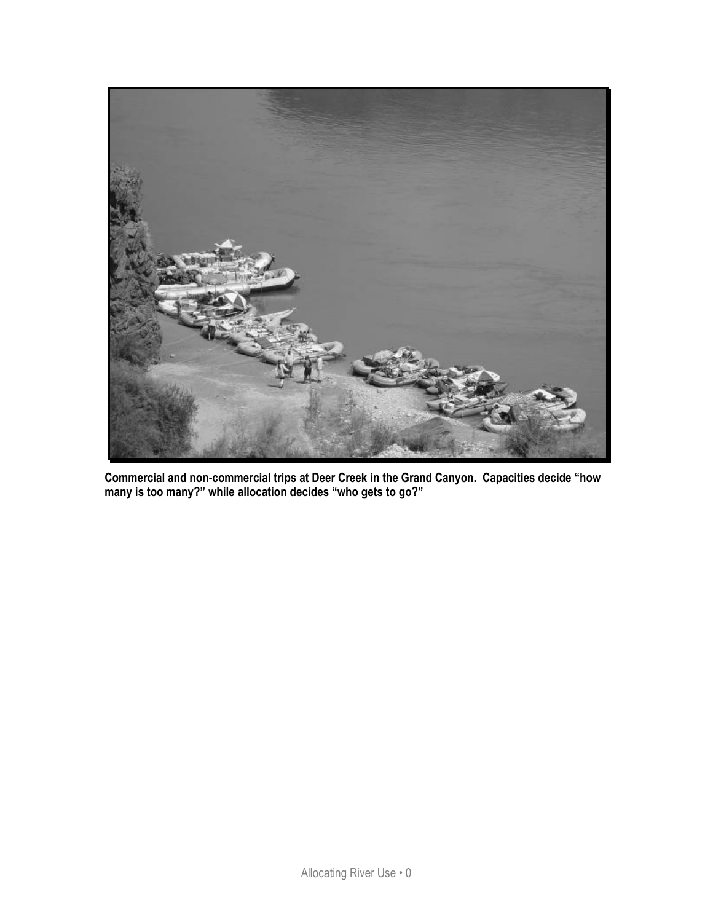

Commercial and non-commercial trips at Deer Creek in the Grand Canyon. Capacities decide "how many is too many?" while allocation decides "who gets to go?"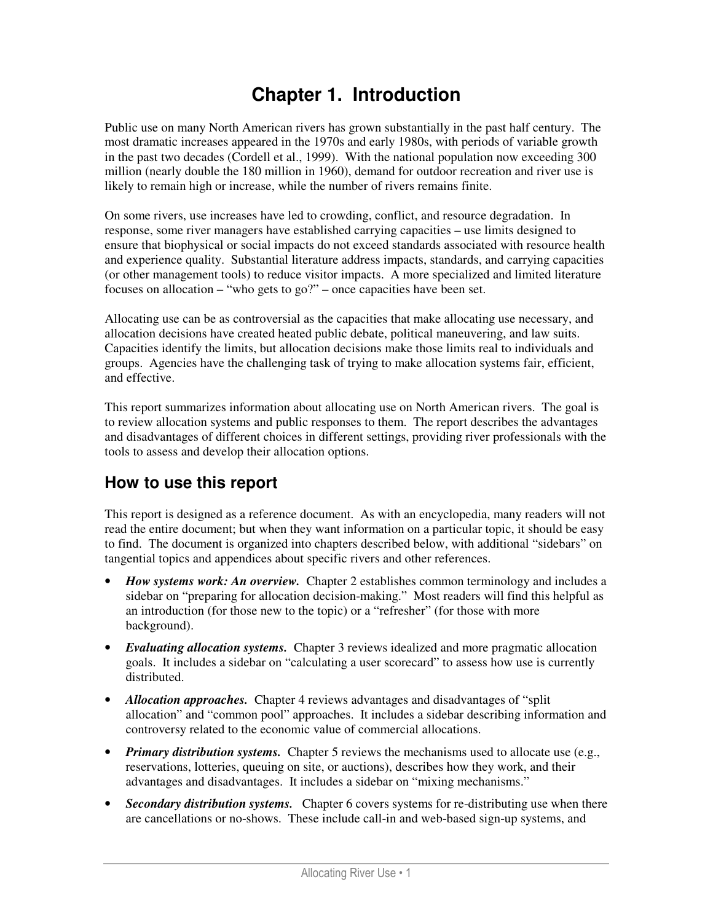## **Chapter 1. Introduction**

Public use on many North American rivers has grown substantially in the past half century. The most dramatic increases appeared in the 1970s and early 1980s, with periods of variable growth in the past two decades (Cordell et al., 1999). With the national population now exceeding 300 million (nearly double the 180 million in 1960), demand for outdoor recreation and river use is likely to remain high or increase, while the number of rivers remains finite.

On some rivers, use increases have led to crowding, conflict, and resource degradation. In response, some river managers have established carrying capacities – use limits designed to ensure that biophysical or social impacts do not exceed standards associated with resource health and experience quality. Substantial literature address impacts, standards, and carrying capacities (or other management tools) to reduce visitor impacts. A more specialized and limited literature focuses on allocation – "who gets to go?" – once capacities have been set.

Allocating use can be as controversial as the capacities that make allocating use necessary, and allocation decisions have created heated public debate, political maneuvering, and law suits. Capacities identify the limits, but allocation decisions make those limits real to individuals and groups. Agencies have the challenging task of trying to make allocation systems fair, efficient, and effective.

This report summarizes information about allocating use on North American rivers. The goal is to review allocation systems and public responses to them. The report describes the advantages and disadvantages of different choices in different settings, providing river professionals with the tools to assess and develop their allocation options.

### **How to use this report**

This report is designed as a reference document. As with an encyclopedia, many readers will not read the entire document; but when they want information on a particular topic, it should be easy to find. The document is organized into chapters described below, with additional "sidebars" on tangential topics and appendices about specific rivers and other references.

- *How systems work: An overview.* Chapter 2 establishes common terminology and includes a sidebar on "preparing for allocation decision-making." Most readers will find this helpful as an introduction (for those new to the topic) or a "refresher" (for those with more background).
- *Evaluating allocation systems.* Chapter 3 reviews idealized and more pragmatic allocation goals. It includes a sidebar on "calculating a user scorecard" to assess how use is currently distributed.
- *Allocation approaches.* Chapter 4 reviews advantages and disadvantages of "split" allocation" and "common pool" approaches. It includes a sidebar describing information and controversy related to the economic value of commercial allocations.
- *Primary distribution systems.* Chapter 5 reviews the mechanisms used to allocate use (e.g., reservations, lotteries, queuing on site, or auctions), describes how they work, and their advantages and disadvantages. It includes a sidebar on "mixing mechanisms."
- *Secondary distribution systems.* Chapter 6 covers systems for re-distributing use when there are cancellations or no-shows. These include call-in and web-based sign-up systems, and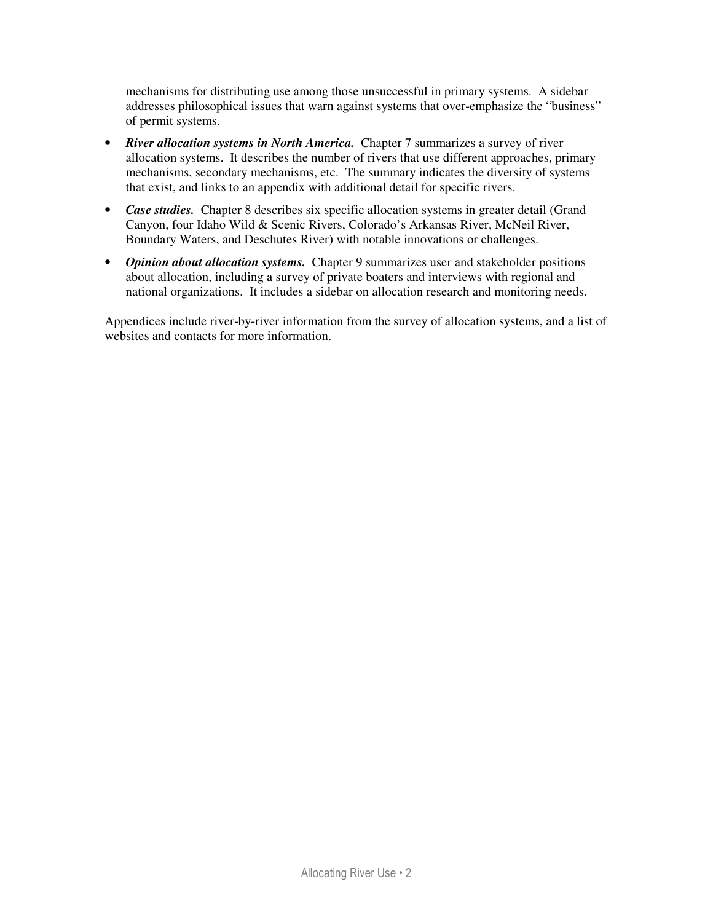mechanisms for distributing use among those unsuccessful in primary systems. A sidebar addresses philosophical issues that warn against systems that over-emphasize the "business" of permit systems.

- **River allocation systems in North America.** Chapter 7 summarizes a survey of river allocation systems. It describes the number of rivers that use different approaches, primary mechanisms, secondary mechanisms, etc. The summary indicates the diversity of systems that exist, and links to an appendix with additional detail for specific rivers.
- *Case studies.* Chapter 8 describes six specific allocation systems in greater detail (Grand Canyon, four Idaho Wild & Scenic Rivers, Colorado's Arkansas River, McNeil River, Boundary Waters, and Deschutes River) with notable innovations or challenges.
- *Opinion about allocation systems.* Chapter 9 summarizes user and stakeholder positions about allocation, including a survey of private boaters and interviews with regional and national organizations. It includes a sidebar on allocation research and monitoring needs.

Appendices include river-by-river information from the survey of allocation systems, and a list of websites and contacts for more information.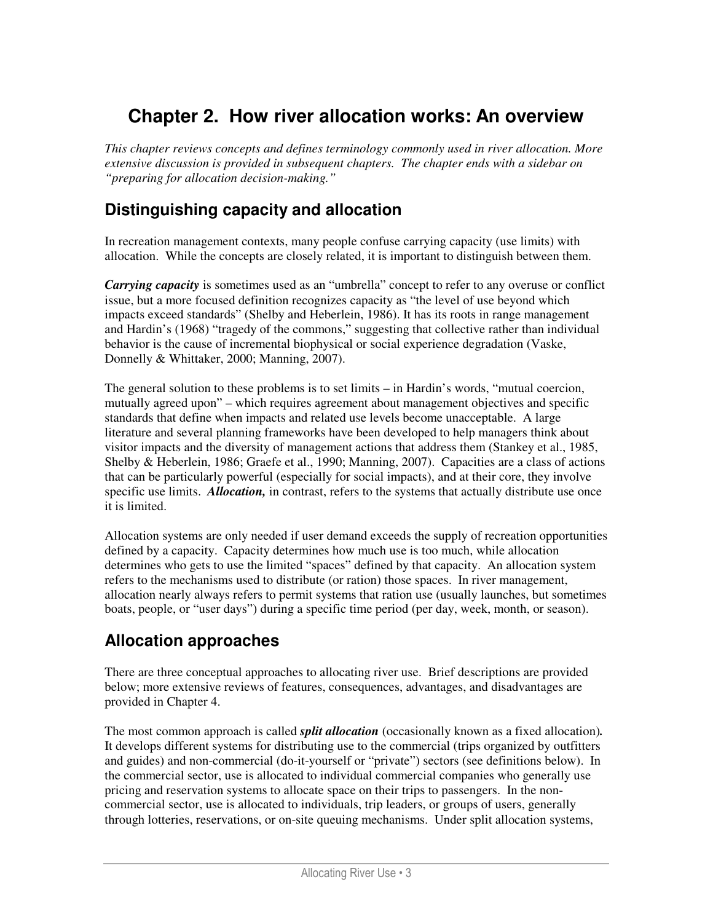## **Chapter 2. How river allocation works: An overview**

*This chapter reviews concepts and defines terminology commonly used in river allocation. More extensive discussion is provided in subsequent chapters. The chapter ends with a sidebar on "preparing for allocation decision-making."* 

#### **Distinguishing capacity and allocation**

In recreation management contexts, many people confuse carrying capacity (use limits) with allocation. While the concepts are closely related, it is important to distinguish between them.

*Carrying capacity* is sometimes used as an "umbrella" concept to refer to any overuse or conflict issue, but a more focused definition recognizes capacity as "the level of use beyond which impacts exceed standards" (Shelby and Heberlein, 1986). It has its roots in range management and Hardin's (1968) "tragedy of the commons," suggesting that collective rather than individual behavior is the cause of incremental biophysical or social experience degradation (Vaske, Donnelly & Whittaker, 2000; Manning, 2007).

The general solution to these problems is to set limits – in Hardin's words, "mutual coercion, mutually agreed upon" – which requires agreement about management objectives and specific standards that define when impacts and related use levels become unacceptable. A large literature and several planning frameworks have been developed to help managers think about visitor impacts and the diversity of management actions that address them (Stankey et al., 1985, Shelby & Heberlein, 1986; Graefe et al., 1990; Manning, 2007). Capacities are a class of actions that can be particularly powerful (especially for social impacts), and at their core, they involve specific use limits. *Allocation*, in contrast, refers to the systems that actually distribute use once it is limited.

Allocation systems are only needed if user demand exceeds the supply of recreation opportunities defined by a capacity. Capacity determines how much use is too much, while allocation determines who gets to use the limited "spaces" defined by that capacity. An allocation system refers to the mechanisms used to distribute (or ration) those spaces. In river management, allocation nearly always refers to permit systems that ration use (usually launches, but sometimes boats, people, or "user days") during a specific time period (per day, week, month, or season).

#### **Allocation approaches**

There are three conceptual approaches to allocating river use. Brief descriptions are provided below; more extensive reviews of features, consequences, advantages, and disadvantages are provided in Chapter 4.

The most common approach is called *split allocation* (occasionally known as a fixed allocation)*.* It develops different systems for distributing use to the commercial (trips organized by outfitters and guides) and non-commercial (do-it-yourself or "private") sectors (see definitions below). In the commercial sector, use is allocated to individual commercial companies who generally use pricing and reservation systems to allocate space on their trips to passengers. In the noncommercial sector, use is allocated to individuals, trip leaders, or groups of users, generally through lotteries, reservations, or on-site queuing mechanisms. Under split allocation systems,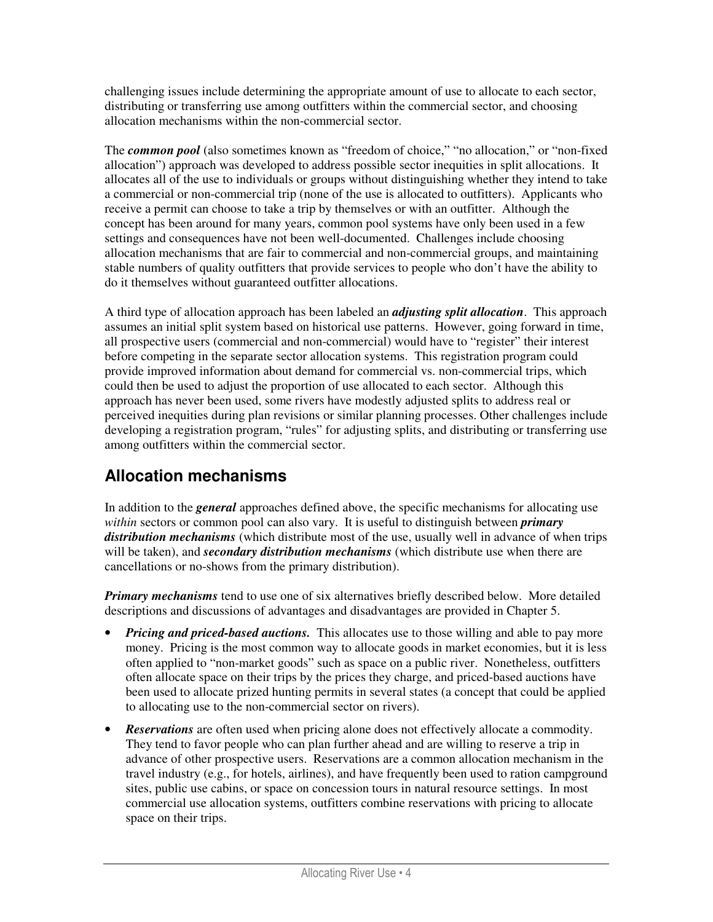challenging issues include determining the appropriate amount of use to allocate to each sector, distributing or transferring use among outfitters within the commercial sector, and choosing allocation mechanisms within the non-commercial sector.

The *common pool* (also sometimes known as "freedom of choice," "no allocation," or "non-fixed allocation") approach was developed to address possible sector inequities in split allocations. It allocates all of the use to individuals or groups without distinguishing whether they intend to take a commercial or non-commercial trip (none of the use is allocated to outfitters). Applicants who receive a permit can choose to take a trip by themselves or with an outfitter. Although the concept has been around for many years, common pool systems have only been used in a few settings and consequences have not been well-documented. Challenges include choosing allocation mechanisms that are fair to commercial and non-commercial groups, and maintaining stable numbers of quality outfitters that provide services to people who don't have the ability to do it themselves without guaranteed outfitter allocations.

A third type of allocation approach has been labeled an *adjusting split allocation*. This approach assumes an initial split system based on historical use patterns. However, going forward in time, all prospective users (commercial and non-commercial) would have to "register" their interest before competing in the separate sector allocation systems. This registration program could provide improved information about demand for commercial vs. non-commercial trips, which could then be used to adjust the proportion of use allocated to each sector. Although this approach has never been used, some rivers have modestly adjusted splits to address real or perceived inequities during plan revisions or similar planning processes. Other challenges include developing a registration program, "rules" for adjusting splits, and distributing or transferring use among outfitters within the commercial sector.

### **Allocation mechanisms**

In addition to the *general* approaches defined above, the specific mechanisms for allocating use *within* sectors or common pool can also vary. It is useful to distinguish between *primary distribution mechanisms* (which distribute most of the use, usually well in advance of when trips will be taken), and *secondary distribution mechanisms* (which distribute use when there are cancellations or no-shows from the primary distribution).

*Primary mechanisms* tend to use one of six alternatives briefly described below. More detailed descriptions and discussions of advantages and disadvantages are provided in Chapter 5.

- *Pricing and priced-based auctions.* This allocates use to those willing and able to pay more money. Pricing is the most common way to allocate goods in market economies, but it is less often applied to "non-market goods" such as space on a public river. Nonetheless, outfitters often allocate space on their trips by the prices they charge, and priced-based auctions have been used to allocate prized hunting permits in several states (a concept that could be applied to allocating use to the non-commercial sector on rivers).
- *Reservations* are often used when pricing alone does not effectively allocate a commodity. They tend to favor people who can plan further ahead and are willing to reserve a trip in advance of other prospective users. Reservations are a common allocation mechanism in the travel industry (e.g., for hotels, airlines), and have frequently been used to ration campground sites, public use cabins, or space on concession tours in natural resource settings. In most commercial use allocation systems, outfitters combine reservations with pricing to allocate space on their trips.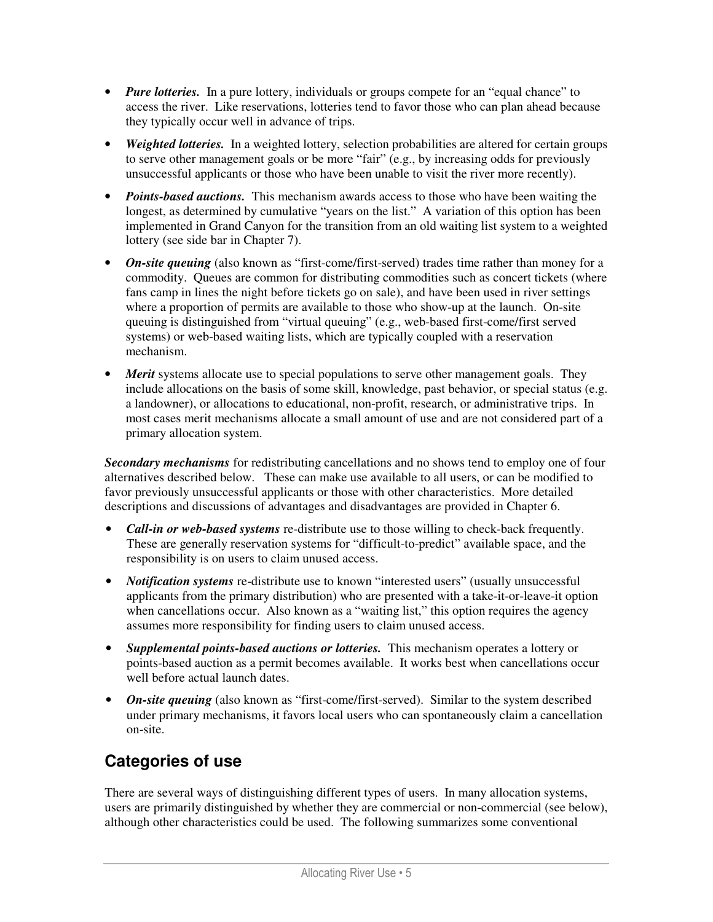- *Pure lotteries.* In a pure lottery, individuals or groups compete for an "equal chance" to access the river. Like reservations, lotteries tend to favor those who can plan ahead because they typically occur well in advance of trips.
- *Weighted lotteries.* In a weighted lottery, selection probabilities are altered for certain groups to serve other management goals or be more "fair" (e.g., by increasing odds for previously unsuccessful applicants or those who have been unable to visit the river more recently).
- *Points-based auctions.* This mechanism awards access to those who have been waiting the longest, as determined by cumulative "years on the list." A variation of this option has been implemented in Grand Canyon for the transition from an old waiting list system to a weighted lottery (see side bar in Chapter 7).
- *On-site queuing* (also known as "first-come/first-served) trades time rather than money for a commodity. Queues are common for distributing commodities such as concert tickets (where fans camp in lines the night before tickets go on sale), and have been used in river settings where a proportion of permits are available to those who show-up at the launch. On-site queuing is distinguished from "virtual queuing" (e.g., web-based first-come/first served systems) or web-based waiting lists, which are typically coupled with a reservation mechanism.
- *Merit* systems allocate use to special populations to serve other management goals. They include allocations on the basis of some skill, knowledge, past behavior, or special status (e.g. a landowner), or allocations to educational, non-profit, research, or administrative trips. In most cases merit mechanisms allocate a small amount of use and are not considered part of a primary allocation system.

*Secondary mechanisms* for redistributing cancellations and no shows tend to employ one of four alternatives described below. These can make use available to all users, or can be modified to favor previously unsuccessful applicants or those with other characteristics. More detailed descriptions and discussions of advantages and disadvantages are provided in Chapter 6.

- *Call-in or web-based systems* re-distribute use to those willing to check-back frequently. These are generally reservation systems for "difficult-to-predict" available space, and the responsibility is on users to claim unused access.
- *Notification systems* re-distribute use to known "interested users" (usually unsuccessful applicants from the primary distribution) who are presented with a take-it-or-leave-it option when cancellations occur. Also known as a "waiting list," this option requires the agency assumes more responsibility for finding users to claim unused access.
- *Supplemental points-based auctions or lotteries.* This mechanism operates a lottery or points-based auction as a permit becomes available. It works best when cancellations occur well before actual launch dates.
- *On-site queuing* (also known as "first-come/first-served). Similar to the system described under primary mechanisms, it favors local users who can spontaneously claim a cancellation on-site.

### **Categories of use**

There are several ways of distinguishing different types of users. In many allocation systems, users are primarily distinguished by whether they are commercial or non-commercial (see below), although other characteristics could be used. The following summarizes some conventional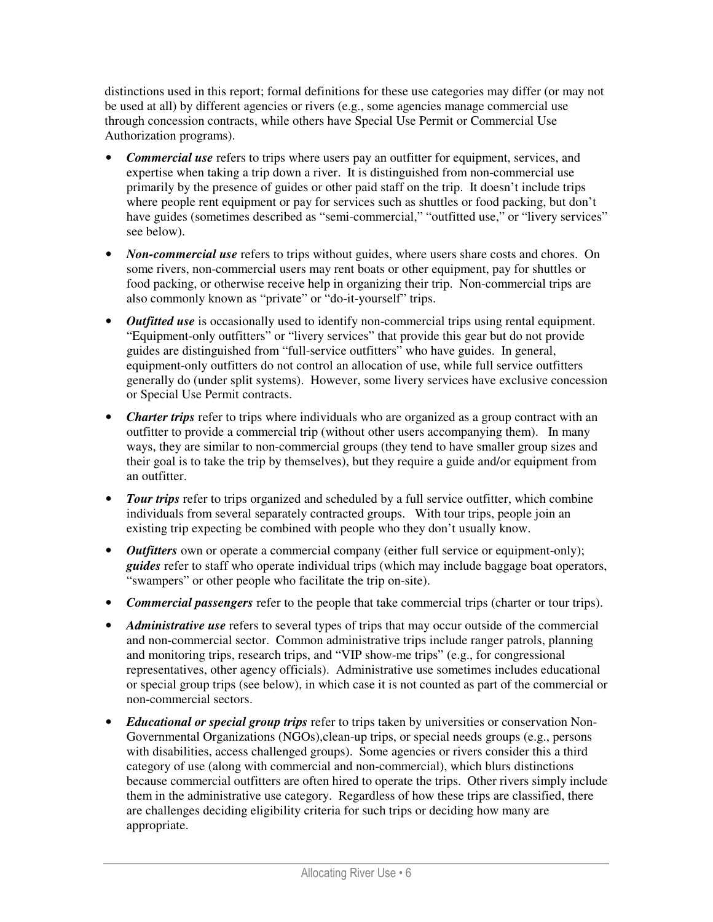distinctions used in this report; formal definitions for these use categories may differ (or may not be used at all) by different agencies or rivers (e.g., some agencies manage commercial use through concession contracts, while others have Special Use Permit or Commercial Use Authorization programs).

- *Commercial use* refers to trips where users pay an outfitter for equipment, services, and expertise when taking a trip down a river. It is distinguished from non-commercial use primarily by the presence of guides or other paid staff on the trip. It doesn't include trips where people rent equipment or pay for services such as shuttles or food packing, but don't have guides (sometimes described as "semi-commercial," "outfitted use," or "livery services" see below).
- *Non-commercial use* refers to trips without guides, where users share costs and chores. On some rivers, non-commercial users may rent boats or other equipment, pay for shuttles or food packing, or otherwise receive help in organizing their trip. Non-commercial trips are also commonly known as "private" or "do-it-yourself" trips.
- *Outfitted use* is occasionally used to identify non-commercial trips using rental equipment. "Equipment-only outfitters" or "livery services" that provide this gear but do not provide guides are distinguished from "full-service outfitters" who have guides. In general, equipment-only outfitters do not control an allocation of use, while full service outfitters generally do (under split systems). However, some livery services have exclusive concession or Special Use Permit contracts.
- *Charter trips* refer to trips where individuals who are organized as a group contract with an outfitter to provide a commercial trip (without other users accompanying them). In many ways, they are similar to non-commercial groups (they tend to have smaller group sizes and their goal is to take the trip by themselves), but they require a guide and/or equipment from an outfitter.
- *Tour trips* refer to trips organized and scheduled by a full service outfitter, which combine individuals from several separately contracted groups. With tour trips, people join an existing trip expecting be combined with people who they don't usually know.
- *Outfitters* own or operate a commercial company (either full service or equipment-only); *guides* refer to staff who operate individual trips (which may include baggage boat operators, "swampers" or other people who facilitate the trip on-site).
- *Commercial passengers* refer to the people that take commercial trips (charter or tour trips).
- *Administrative use* refers to several types of trips that may occur outside of the commercial and non-commercial sector. Common administrative trips include ranger patrols, planning and monitoring trips, research trips, and "VIP show-me trips" (e.g., for congressional representatives, other agency officials). Administrative use sometimes includes educational or special group trips (see below), in which case it is not counted as part of the commercial or non-commercial sectors.
- *Educational or special group trips* refer to trips taken by universities or conservation Non-Governmental Organizations (NGOs),clean-up trips, or special needs groups (e.g., persons with disabilities, access challenged groups). Some agencies or rivers consider this a third category of use (along with commercial and non-commercial), which blurs distinctions because commercial outfitters are often hired to operate the trips. Other rivers simply include them in the administrative use category. Regardless of how these trips are classified, there are challenges deciding eligibility criteria for such trips or deciding how many are appropriate.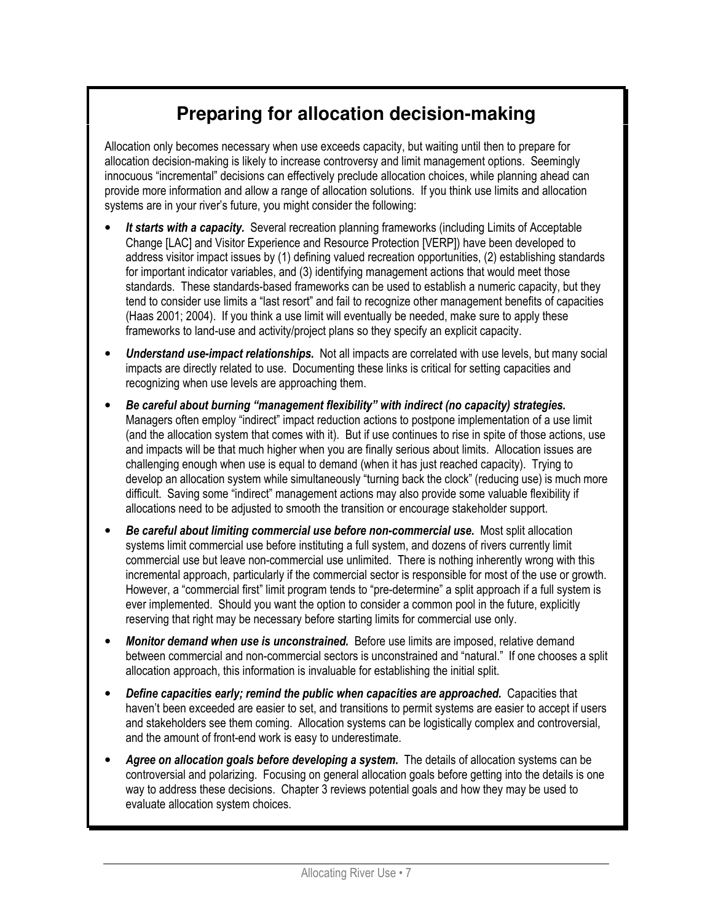# **Preparing for allocation decision-making**

Allocation only becomes necessary when use exceeds capacity, but waiting until then to prepare for allocation decision-making is likely to increase controversy and limit management options. Seemingly innocuous "incremental" decisions can effectively preclude allocation choices, while planning ahead can provide more information and allow a range of allocation solutions. If you think use limits and allocation systems are in your river's future, you might consider the following:

- It starts with a capacity. Several recreation planning frameworks (including Limits of Acceptable Change [LAC] and Visitor Experience and Resource Protection [VERP]) have been developed to address visitor impact issues by (1) defining valued recreation opportunities, (2) establishing standards for important indicator variables, and (3) identifying management actions that would meet those standards. These standards-based frameworks can be used to establish a numeric capacity, but they tend to consider use limits a "last resort" and fail to recognize other management benefits of capacities (Haas 2001; 2004). If you think a use limit will eventually be needed, make sure to apply these frameworks to land-use and activity/project plans so they specify an explicit capacity.
- Understand use-impact relationships. Not all impacts are correlated with use levels, but many social impacts are directly related to use. Documenting these links is critical for setting capacities and recognizing when use levels are approaching them.
- Be careful about burning "management flexibility" with indirect (no capacity) strategies. Managers often employ "indirect" impact reduction actions to postpone implementation of a use limit (and the allocation system that comes with it). But if use continues to rise in spite of those actions, use and impacts will be that much higher when you are finally serious about limits. Allocation issues are challenging enough when use is equal to demand (when it has just reached capacity). Trying to develop an allocation system while simultaneously "turning back the clock" (reducing use) is much more difficult. Saving some "indirect" management actions may also provide some valuable flexibility if allocations need to be adjusted to smooth the transition or encourage stakeholder support.
- Be careful about limiting commercial use before non-commercial use. Most split allocation systems limit commercial use before instituting a full system, and dozens of rivers currently limit commercial use but leave non-commercial use unlimited. There is nothing inherently wrong with this incremental approach, particularly if the commercial sector is responsible for most of the use or growth. However, a "commercial first" limit program tends to "pre-determine" a split approach if a full system is ever implemented. Should you want the option to consider a common pool in the future, explicitly reserving that right may be necessary before starting limits for commercial use only.
- **Monitor demand when use is unconstrained.** Before use limits are imposed, relative demand between commercial and non-commercial sectors is unconstrained and "natural." If one chooses a split allocation approach, this information is invaluable for establishing the initial split.
- Define capacities early; remind the public when capacities are approached. Capacities that haven't been exceeded are easier to set, and transitions to permit systems are easier to accept if users and stakeholders see them coming. Allocation systems can be logistically complex and controversial, and the amount of front-end work is easy to underestimate.
- Agree on allocation goals before developing a system. The details of allocation systems can be controversial and polarizing. Focusing on general allocation goals before getting into the details is one way to address these decisions. Chapter 3 reviews potential goals and how they may be used to evaluate allocation system choices.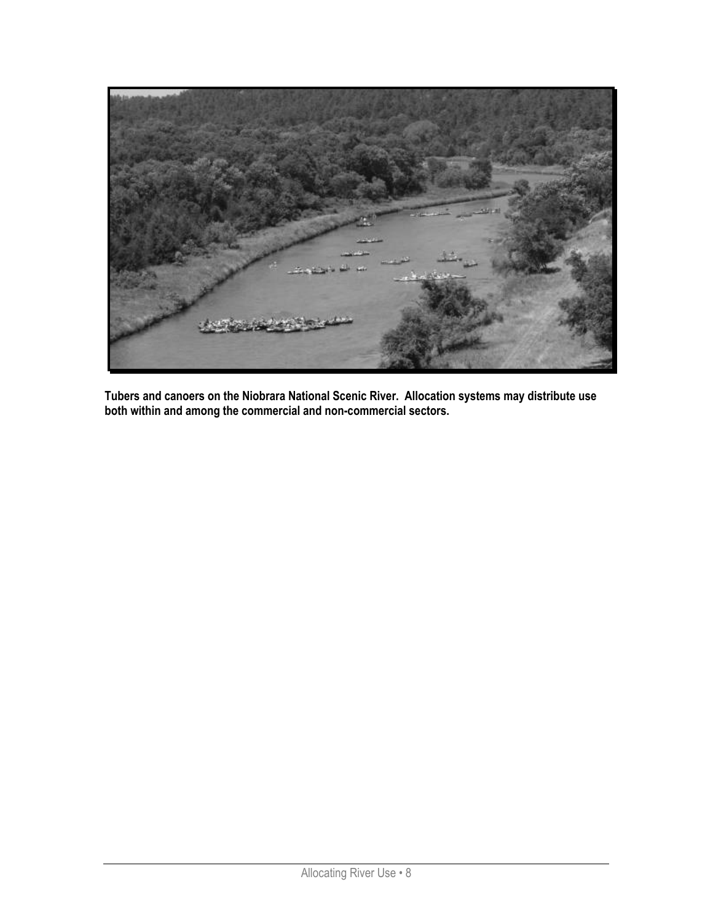

Tubers and canoers on the Niobrara National Scenic River. Allocation systems may distribute use both within and among the commercial and non-commercial sectors.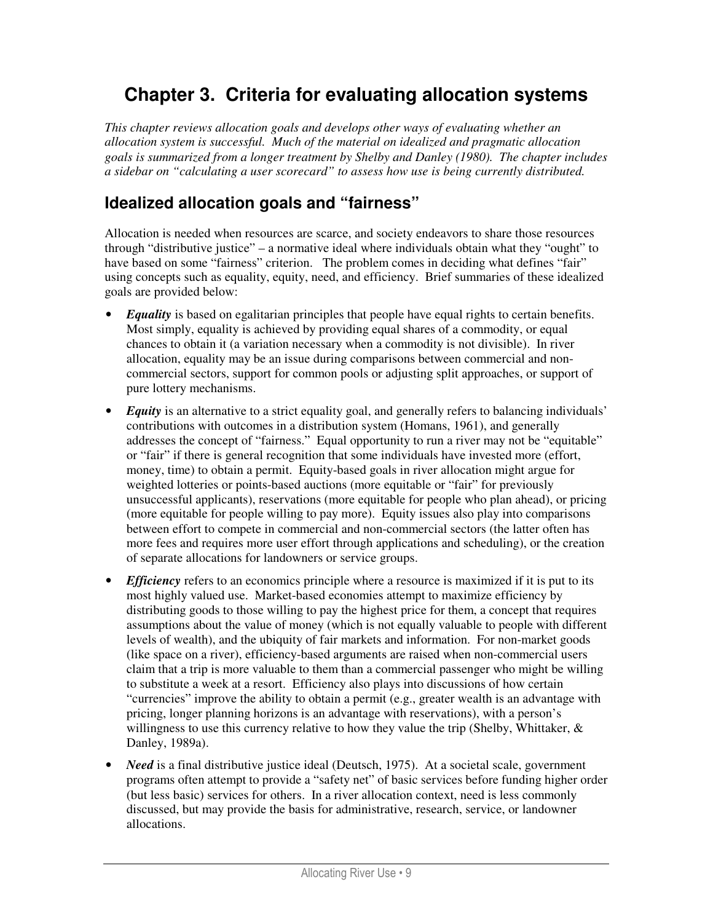## **Chapter 3. Criteria for evaluating allocation systems**

*This chapter reviews allocation goals and develops other ways of evaluating whether an allocation system is successful. Much of the material on idealized and pragmatic allocation goals is summarized from a longer treatment by Shelby and Danley (1980). The chapter includes a sidebar on "calculating a user scorecard" to assess how use is being currently distributed.* 

### **Idealized allocation goals and "fairness"**

Allocation is needed when resources are scarce, and society endeavors to share those resources through "distributive justice" – a normative ideal where individuals obtain what they "ought" to have based on some "fairness" criterion. The problem comes in deciding what defines "fair" using concepts such as equality, equity, need, and efficiency. Brief summaries of these idealized goals are provided below:

- *Equality* is based on egalitarian principles that people have equal rights to certain benefits. Most simply, equality is achieved by providing equal shares of a commodity, or equal chances to obtain it (a variation necessary when a commodity is not divisible). In river allocation, equality may be an issue during comparisons between commercial and noncommercial sectors, support for common pools or adjusting split approaches, or support of pure lottery mechanisms.
- *Equity* is an alternative to a strict equality goal, and generally refers to balancing individuals' contributions with outcomes in a distribution system (Homans, 1961), and generally addresses the concept of "fairness." Equal opportunity to run a river may not be "equitable" or "fair" if there is general recognition that some individuals have invested more (effort, money, time) to obtain a permit. Equity-based goals in river allocation might argue for weighted lotteries or points-based auctions (more equitable or "fair" for previously unsuccessful applicants), reservations (more equitable for people who plan ahead), or pricing (more equitable for people willing to pay more). Equity issues also play into comparisons between effort to compete in commercial and non-commercial sectors (the latter often has more fees and requires more user effort through applications and scheduling), or the creation of separate allocations for landowners or service groups.
- *Efficiency* refers to an economics principle where a resource is maximized if it is put to its most highly valued use. Market-based economies attempt to maximize efficiency by distributing goods to those willing to pay the highest price for them, a concept that requires assumptions about the value of money (which is not equally valuable to people with different levels of wealth), and the ubiquity of fair markets and information. For non-market goods (like space on a river), efficiency-based arguments are raised when non-commercial users claim that a trip is more valuable to them than a commercial passenger who might be willing to substitute a week at a resort. Efficiency also plays into discussions of how certain "currencies" improve the ability to obtain a permit (e.g., greater wealth is an advantage with pricing, longer planning horizons is an advantage with reservations), with a person's willingness to use this currency relative to how they value the trip (Shelby, Whittaker,  $\&$ Danley, 1989a).
- *Need* is a final distributive justice ideal (Deutsch, 1975). At a societal scale, government programs often attempt to provide a "safety net" of basic services before funding higher order (but less basic) services for others. In a river allocation context, need is less commonly discussed, but may provide the basis for administrative, research, service, or landowner allocations.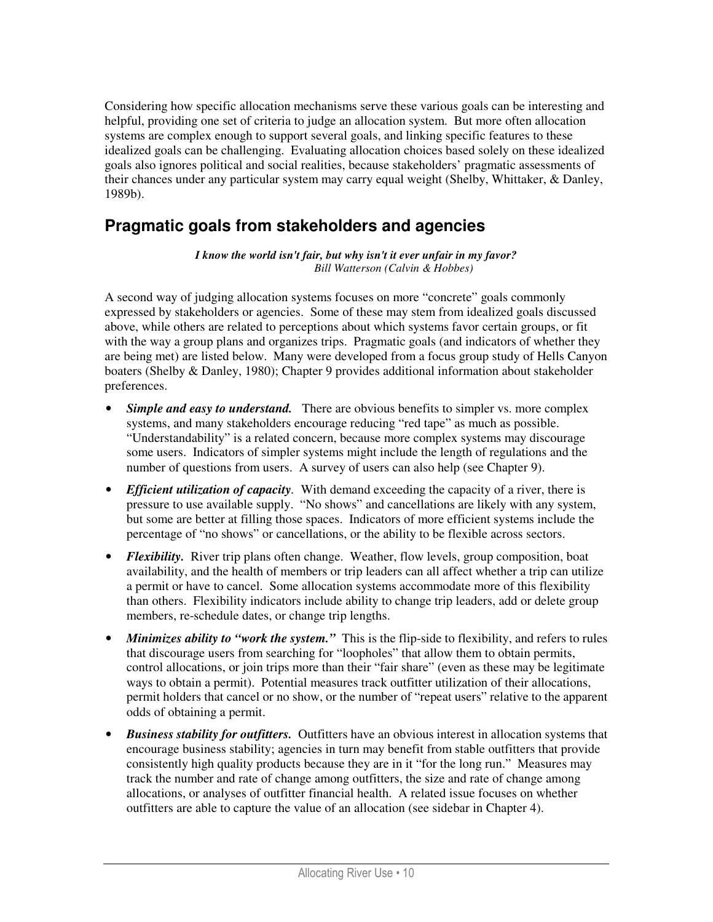Considering how specific allocation mechanisms serve these various goals can be interesting and helpful, providing one set of criteria to judge an allocation system. But more often allocation systems are complex enough to support several goals, and linking specific features to these idealized goals can be challenging. Evaluating allocation choices based solely on these idealized goals also ignores political and social realities, because stakeholders' pragmatic assessments of their chances under any particular system may carry equal weight (Shelby, Whittaker, & Danley, 1989b).

#### **Pragmatic goals from stakeholders and agencies**

*I know the world isn't fair, but why isn't it ever unfair in my favor?*  *Bill Watterson (Calvin & Hobbes)* 

A second way of judging allocation systems focuses on more "concrete" goals commonly expressed by stakeholders or agencies. Some of these may stem from idealized goals discussed above, while others are related to perceptions about which systems favor certain groups, or fit with the way a group plans and organizes trips. Pragmatic goals (and indicators of whether they are being met) are listed below. Many were developed from a focus group study of Hells Canyon boaters (Shelby & Danley, 1980); Chapter 9 provides additional information about stakeholder preferences.

- *Simple and easy to understand.* There are obvious benefits to simpler vs. more complex systems, and many stakeholders encourage reducing "red tape" as much as possible. "Understandability" is a related concern, because more complex systems may discourage some users. Indicators of simpler systems might include the length of regulations and the number of questions from users. A survey of users can also help (see Chapter 9).
- *Efficient utilization of capacity*. With demand exceeding the capacity of a river, there is pressure to use available supply. "No shows" and cancellations are likely with any system, but some are better at filling those spaces. Indicators of more efficient systems include the percentage of "no shows" or cancellations, or the ability to be flexible across sectors.
- *Flexibility.* River trip plans often change. Weather, flow levels, group composition, boat availability, and the health of members or trip leaders can all affect whether a trip can utilize a permit or have to cancel. Some allocation systems accommodate more of this flexibility than others. Flexibility indicators include ability to change trip leaders, add or delete group members, re-schedule dates, or change trip lengths.
- *Minimizes ability to "work the system."* This is the flip-side to flexibility, and refers to rules that discourage users from searching for "loopholes" that allow them to obtain permits, control allocations, or join trips more than their "fair share" (even as these may be legitimate ways to obtain a permit). Potential measures track outfitter utilization of their allocations, permit holders that cancel or no show, or the number of "repeat users" relative to the apparent odds of obtaining a permit.
- *Business stability for outfitters.* Outfitters have an obvious interest in allocation systems that encourage business stability; agencies in turn may benefit from stable outfitters that provide consistently high quality products because they are in it "for the long run." Measures may track the number and rate of change among outfitters, the size and rate of change among allocations, or analyses of outfitter financial health. A related issue focuses on whether outfitters are able to capture the value of an allocation (see sidebar in Chapter 4).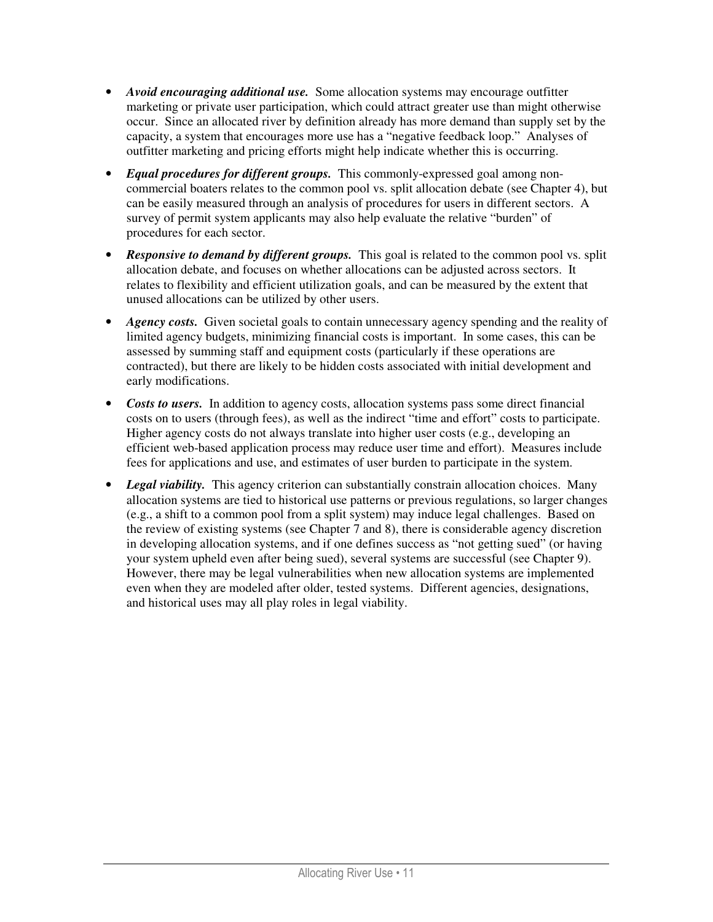- *Avoid encouraging additional use.* Some allocation systems may encourage outfitter marketing or private user participation, which could attract greater use than might otherwise occur. Since an allocated river by definition already has more demand than supply set by the capacity, a system that encourages more use has a "negative feedback loop." Analyses of outfitter marketing and pricing efforts might help indicate whether this is occurring.
- *Equal procedures for different groups.* This commonly-expressed goal among noncommercial boaters relates to the common pool vs. split allocation debate (see Chapter 4), but can be easily measured through an analysis of procedures for users in different sectors. A survey of permit system applicants may also help evaluate the relative "burden" of procedures for each sector.
- *Responsive to demand by different groups.* This goal is related to the common pool vs. split allocation debate, and focuses on whether allocations can be adjusted across sectors. It relates to flexibility and efficient utilization goals, and can be measured by the extent that unused allocations can be utilized by other users.
- *Agency costs.* Given societal goals to contain unnecessary agency spending and the reality of limited agency budgets, minimizing financial costs is important. In some cases, this can be assessed by summing staff and equipment costs (particularly if these operations are contracted), but there are likely to be hidden costs associated with initial development and early modifications.
- *Costs to users.* In addition to agency costs, allocation systems pass some direct financial costs on to users (through fees), as well as the indirect "time and effort" costs to participate. Higher agency costs do not always translate into higher user costs (e.g., developing an efficient web-based application process may reduce user time and effort). Measures include fees for applications and use, and estimates of user burden to participate in the system.
- *Legal viability*. This agency criterion can substantially constrain allocation choices. Many allocation systems are tied to historical use patterns or previous regulations, so larger changes (e.g., a shift to a common pool from a split system) may induce legal challenges. Based on the review of existing systems (see Chapter 7 and 8), there is considerable agency discretion in developing allocation systems, and if one defines success as "not getting sued" (or having your system upheld even after being sued), several systems are successful (see Chapter 9). However, there may be legal vulnerabilities when new allocation systems are implemented even when they are modeled after older, tested systems. Different agencies, designations, and historical uses may all play roles in legal viability.